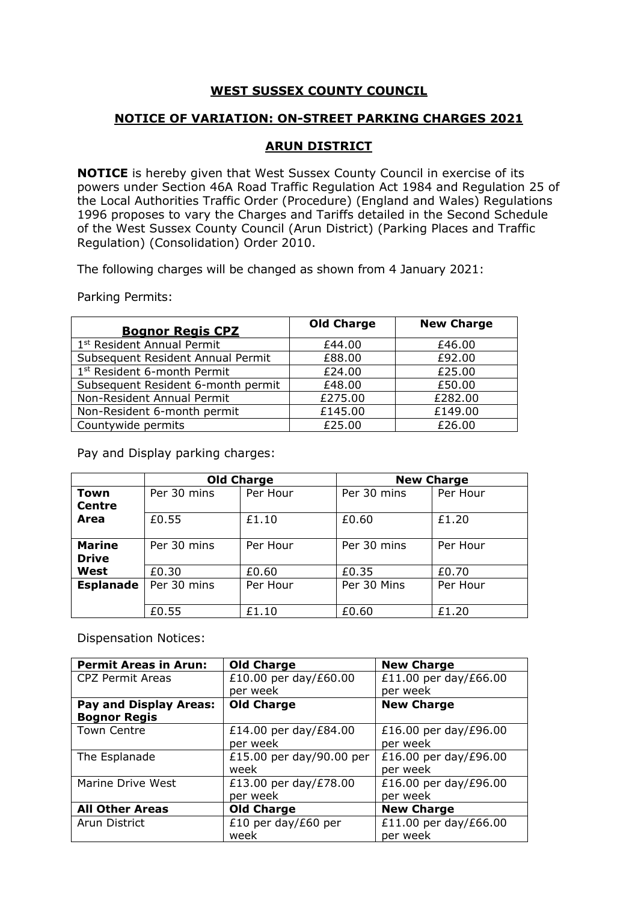## **WEST SUSSEX COUNTY COUNCIL**

## **NOTICE OF VARIATION: ON-STREET PARKING CHARGES 2021**

## **ARUN DISTRICT**

**NOTICE** is hereby given that West Sussex County Council in exercise of its powers under Section 46A Road Traffic Regulation Act 1984 and Regulation 25 of the Local Authorities Traffic Order (Procedure) (England and Wales) Regulations 1996 proposes to vary the Charges and Tariffs detailed in the Second Schedule of the West Sussex County Council (Arun District) (Parking Places and Traffic Regulation) (Consolidation) Order 2010.

The following charges will be changed as shown from 4 January 2021:

Parking Permits:

| <b>Bognor Regis CPZ</b>                | <b>Old Charge</b> | <b>New Charge</b> |
|----------------------------------------|-------------------|-------------------|
| 1 <sup>st</sup> Resident Annual Permit | £44.00            | £46.00            |
| Subsequent Resident Annual Permit      | £88.00            | £92.00            |
| 1st Resident 6-month Permit            | £24.00            | £25.00            |
| Subsequent Resident 6-month permit     | £48.00            | £50.00            |
| Non-Resident Annual Permit             | £275.00           | £282.00           |
| Non-Resident 6-month permit            | £145.00           | £149.00           |
| Countywide permits                     | £25.00            | £26.00            |

Pay and Display parking charges:

|                  | <b>Old Charge</b> |          | <b>New Charge</b> |          |
|------------------|-------------------|----------|-------------------|----------|
| Town             | Per 30 mins       | Per Hour | Per 30 mins       | Per Hour |
| Centre           |                   |          |                   |          |
| Area             | £0.55             | £1.10    | £0.60             | £1.20    |
|                  |                   |          |                   |          |
| <b>Marine</b>    | Per 30 mins       | Per Hour | Per 30 mins       | Per Hour |
| <b>Drive</b>     |                   |          |                   |          |
| West             | £0.30             | £0.60    | £0.35             | £0.70    |
| <b>Esplanade</b> | Per 30 mins       | Per Hour | Per 30 Mins       | Per Hour |
|                  |                   |          |                   |          |
|                  | £0.55             | £1.10    | £0.60             | £1.20    |

Dispensation Notices:

| <b>Permit Areas in Arun:</b>  | <b>Old Charge</b>        | <b>New Charge</b>     |
|-------------------------------|--------------------------|-----------------------|
| <b>CPZ Permit Areas</b>       | £10.00 per day/£60.00    | £11.00 per day/£66.00 |
|                               | per week                 | per week              |
| <b>Pay and Display Areas:</b> | <b>Old Charge</b>        | <b>New Charge</b>     |
| <b>Bognor Regis</b>           |                          |                       |
| <b>Town Centre</b>            | £14.00 per day/£84.00    | £16.00 per day/£96.00 |
|                               | per week                 | per week              |
| The Esplanade                 | £15.00 per day/90.00 per | £16.00 per day/£96.00 |
|                               | week                     | per week              |
| Marine Drive West             | £13.00 per day/£78.00    | £16.00 per day/£96.00 |
|                               | per week                 | per week              |
| <b>All Other Areas</b>        | <b>Old Charge</b>        | <b>New Charge</b>     |
| Arun District                 | £10 per day/£60 per      | £11.00 per day/£66.00 |
|                               | week                     | per week              |